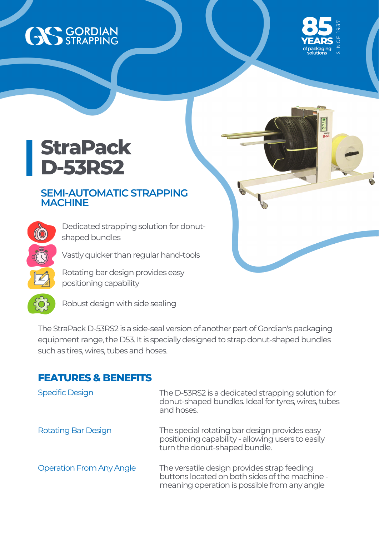# AS GORDIAN



 $\overline{p}$ -53

## **StraPack D-53RS2**

### **SEMI-AUTOMATIC STRAPPING MACHINE**

Dedicated strapping solution for donutshaped bundles

Vastly quicker than regular hand-tools

Rotating bar design provides easy positioning capability



CO

Robust design with side sealing

The StraPack D-53RS2 is a side-seal version of another part of Gordian's packaging equipment range, the D53. It is specially designed to strap donut-shaped bundles such as tires, wires, tubes and hoses.

#### **FEATURES & BENEFITS**

| <b>Specific Design</b>          | The D-53RS2 is a dedicated strapping solution for<br>donut-shaped bundles. Ideal for tyres, wires, tubes<br>and hoses.                        |
|---------------------------------|-----------------------------------------------------------------------------------------------------------------------------------------------|
| <b>Rotating Bar Design</b>      | The special rotating bar design provides easy<br>positioning capability - allowing users to easily<br>turn the donut-shaped bundle.           |
| <b>Operation From Any Angle</b> | The versatile design provides strap feeding<br>buttons located on both sides of the machine -<br>meaning operation is possible from any angle |